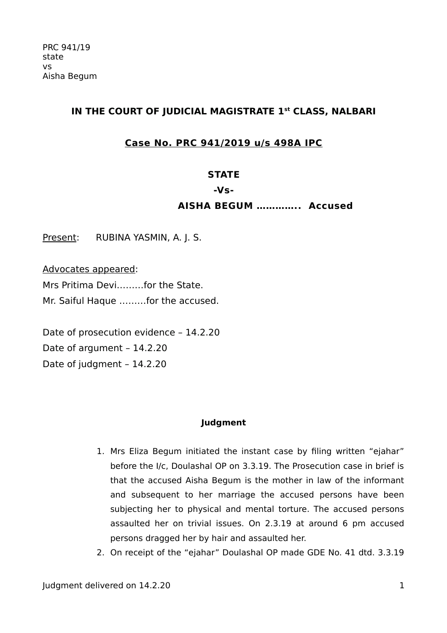# **IN THE COURT OF JUDICIAL MAGISTRATE 1st CLASS, NALBARI**

# **Case No. PRC 941/2019 u/s 498A IPC**

# **STATE**

#### **-Vs-**

## **AISHA BEGUM ………….. Accused**

Present: RUBINA YASMIN, A. J. S.

Advocates appeared:

Mrs Pritima Devi………for the State. Mr. Saiful Haque ………for the accused.

Date of prosecution evidence – 14.2.20 Date of argument – 14.2.20 Date of judgment – 14.2.20

### **Judgment**

- 1. Mrs Eliza Begum initiated the instant case by filing written "ejahar" before the I/c, Doulashal OP on 3.3.19. The Prosecution case in brief is that the accused Aisha Begum is the mother in law of the informant and subsequent to her marriage the accused persons have been subjecting her to physical and mental torture. The accused persons assaulted her on trivial issues. On 2.3.19 at around 6 pm accused persons dragged her by hair and assaulted her.
- 2. On receipt of the "ejahar" Doulashal OP made GDE No. 41 dtd. 3.3.19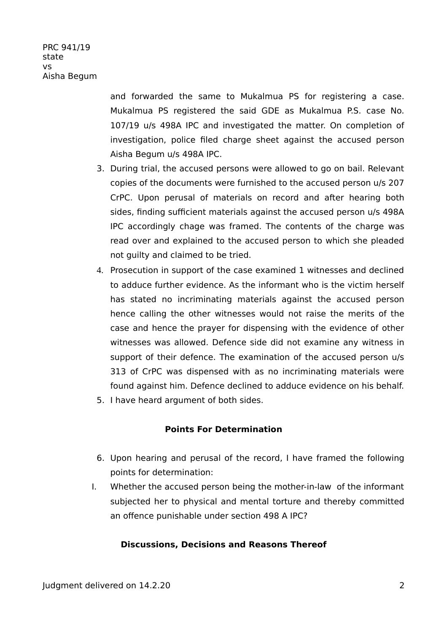PRC 941/19 state  $V<sub>c</sub>$ Aisha Begum

> and forwarded the same to Mukalmua PS for registering a case. Mukalmua PS registered the said GDE as Mukalmua P.S. case No. 107/19 u/s 498A IPC and investigated the matter. On completion of investigation, police filed charge sheet against the accused person Aisha Begum u/s 498A IPC.

- 3. During trial, the accused persons were allowed to go on bail. Relevant copies of the documents were furnished to the accused person u/s 207 CrPC. Upon perusal of materials on record and after hearing both sides, finding sufficient materials against the accused person u/s 498A IPC accordingly chage was framed. The contents of the charge was read over and explained to the accused person to which she pleaded not guilty and claimed to be tried.
- 4. Prosecution in support of the case examined 1 witnesses and declined to adduce further evidence. As the informant who is the victim herself has stated no incriminating materials against the accused person hence calling the other witnesses would not raise the merits of the case and hence the prayer for dispensing with the evidence of other witnesses was allowed. Defence side did not examine any witness in support of their defence. The examination of the accused person u/s 313 of CrPC was dispensed with as no incriminating materials were found against him. Defence declined to adduce evidence on his behalf.
- 5. I have heard argument of both sides.

### **Points For Determination**

- 6. Upon hearing and perusal of the record, I have framed the following points for determination:
- I. Whether the accused person being the mother-in-law of the informant subjected her to physical and mental torture and thereby committed an offence punishable under section 498 A IPC?

### **Discussions, Decisions and Reasons Thereof**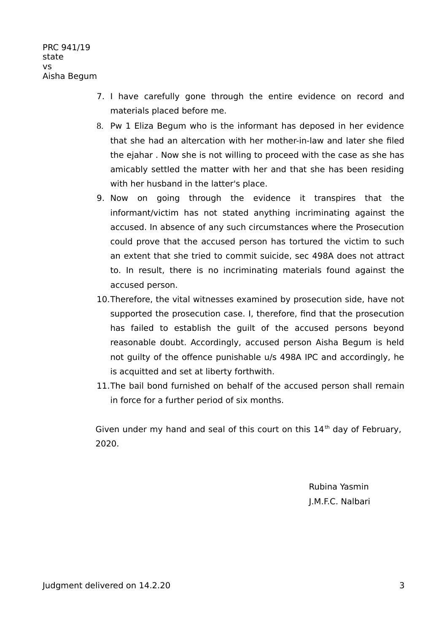- 7. I have carefully gone through the entire evidence on record and materials placed before me.
- 8. Pw 1 Eliza Begum who is the informant has deposed in her evidence that she had an altercation with her mother-in-law and later she filed the ejahar . Now she is not willing to proceed with the case as she has amicably settled the matter with her and that she has been residing with her husband in the latter's place.
- 9. Now on going through the evidence it transpires that the informant/victim has not stated anything incriminating against the accused. In absence of any such circumstances where the Prosecution could prove that the accused person has tortured the victim to such an extent that she tried to commit suicide, sec 498A does not attract to. In result, there is no incriminating materials found against the accused person.
- 10.Therefore, the vital witnesses examined by prosecution side, have not supported the prosecution case. I, therefore, find that the prosecution has failed to establish the guilt of the accused persons beyond reasonable doubt. Accordingly, accused person Aisha Begum is held not guilty of the offence punishable u/s 498A IPC and accordingly, he is acquitted and set at liberty forthwith.
- 11.The bail bond furnished on behalf of the accused person shall remain in force for a further period of six months.

Given under my hand and seal of this court on this  $14<sup>th</sup>$  day of February, 2020.

> Rubina Yasmin J.M.F.C. Nalbari